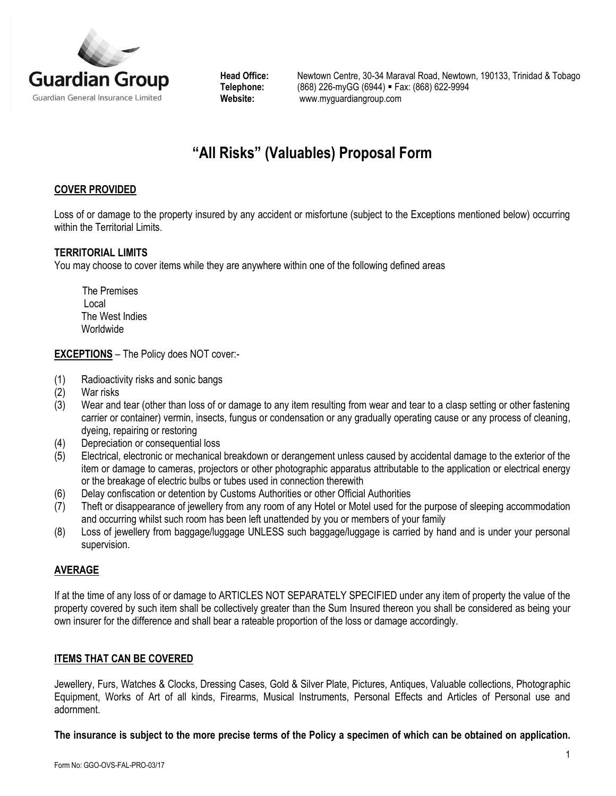

Head Office: Newtown Centre, 30-34 Maraval Road, Newtown, 190133, Trinidad & Tobago<br>Telephone: (868) 226-myGG (6944) = Fax: (868) 622-9994 **Telephone:** (868) 226-myGG (6944) Fax: (868) 622-9994 **Website:** [www.myguardiangroup.com](http://www.myguardiangroup.com/)

# **"All Risks" (Valuables) Proposal Form**

## **COVER PROVIDED**

Loss of or damage to the property insured by any accident or misfortune (subject to the Exceptions mentioned below) occurring within the Territorial Limits.

#### **TERRITORIAL LIMITS**

You may choose to cover items while they are anywhere within one of the following defined areas

 The Premises Local The West Indies Worldwide

**EXCEPTIONS** – The Policy does NOT cover:-

- (1) Radioactivity risks and sonic bangs
- (2) War risks
- (3) Wear and tear (other than loss of or damage to any item resulting from wear and tear to a clasp setting or other fastening carrier or container) vermin, insects, fungus or condensation or any gradually operating cause or any process of cleaning, dyeing, repairing or restoring
- (4) Depreciation or consequential loss
- (5) Electrical, electronic or mechanical breakdown or derangement unless caused by accidental damage to the exterior of the item or damage to cameras, projectors or other photographic apparatus attributable to the application or electrical energy or the breakage of electric bulbs or tubes used in connection therewith
- (6) Delay confiscation or detention by Customs Authorities or other Official Authorities
- (7) Theft or disappearance of jewellery from any room of any Hotel or Motel used for the purpose of sleeping accommodation and occurring whilst such room has been left unattended by you or members of your family
- (8) Loss of jewellery from baggage/luggage UNLESS such baggage/luggage is carried by hand and is under your personal supervision.

### **AVERAGE**

If at the time of any loss of or damage to ARTICLES NOT SEPARATELY SPECIFIED under any item of property the value of the property covered by such item shall be collectively greater than the Sum Insured thereon you shall be considered as being your own insurer for the difference and shall bear a rateable proportion of the loss or damage accordingly.

### **ITEMS THAT CAN BE COVERED**

Jewellery, Furs, Watches & Clocks, Dressing Cases, Gold & Silver Plate, Pictures, Antiques, Valuable collections, Photographic Equipment, Works of Art of all kinds, Firearms, Musical Instruments, Personal Effects and Articles of Personal use and adornment.

**The insurance is subject to the more precise terms of the Policy a specimen of which can be obtained on application.**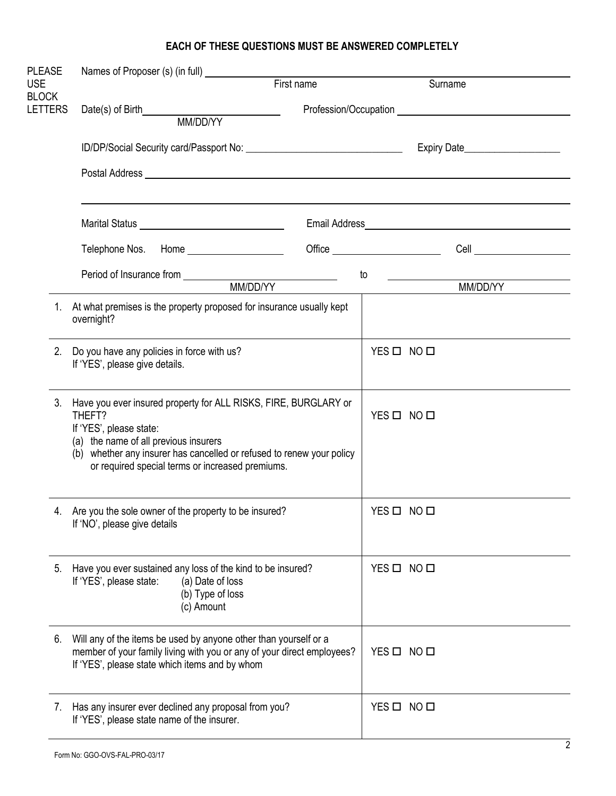# **EACH OF THESE QUESTIONS MUST BE ANSWERED COMPLETELY**

| <b>PLEASE</b>              |                                                                                                                                                                                                                                                                            |    |            |                                                                                                                                                                                                                                      |  |
|----------------------------|----------------------------------------------------------------------------------------------------------------------------------------------------------------------------------------------------------------------------------------------------------------------------|----|------------|--------------------------------------------------------------------------------------------------------------------------------------------------------------------------------------------------------------------------------------|--|
| <b>USE</b><br><b>BLOCK</b> | First name                                                                                                                                                                                                                                                                 |    | Surname    |                                                                                                                                                                                                                                      |  |
| <b>LETTERS</b>             |                                                                                                                                                                                                                                                                            |    |            |                                                                                                                                                                                                                                      |  |
|                            |                                                                                                                                                                                                                                                                            |    |            |                                                                                                                                                                                                                                      |  |
|                            | ID/DP/Social Security card/Passport No: \\connection\\connection\\connection\\connection\\connection\\connection\\connection\\connection\\connection\\connection\\connection\\connection\\connection\\connection\\connection\\                                             |    |            |                                                                                                                                                                                                                                      |  |
|                            |                                                                                                                                                                                                                                                                            |    |            |                                                                                                                                                                                                                                      |  |
|                            |                                                                                                                                                                                                                                                                            |    |            |                                                                                                                                                                                                                                      |  |
|                            | Marital Status New York New York New York New York New York New York New York New York New York New York New York New York New York New York New York New York New York New York New York New York New York New York New York                                              |    |            |                                                                                                                                                                                                                                      |  |
|                            | Telephone Nos. Home _____________________                                                                                                                                                                                                                                  |    |            | Cell <u>superior and the set of the set of the set of the set of the set of the set of the set of the set of the set of the set of the set of the set of the set of the set of the set of the set of the set of the set of the s</u> |  |
|                            |                                                                                                                                                                                                                                                                            | to |            |                                                                                                                                                                                                                                      |  |
|                            |                                                                                                                                                                                                                                                                            |    |            | MM/DD/YY                                                                                                                                                                                                                             |  |
| 1.                         | At what premises is the property proposed for insurance usually kept<br>overnight?                                                                                                                                                                                         |    |            |                                                                                                                                                                                                                                      |  |
| 2.                         | Do you have any policies in force with us?<br>If 'YES', please give details.                                                                                                                                                                                               |    | YES O NO O |                                                                                                                                                                                                                                      |  |
| 3.                         | Have you ever insured property for ALL RISKS, FIRE, BURGLARY or<br>THEFT?<br>If 'YES', please state:<br>(a) the name of all previous insurers<br>(b) whether any insurer has cancelled or refused to renew your policy<br>or required special terms or increased premiums. |    | YES O NO O |                                                                                                                                                                                                                                      |  |
| 4.                         | Are you the sole owner of the property to be insured?<br>If 'NO', please give details                                                                                                                                                                                      |    | YES O NO O |                                                                                                                                                                                                                                      |  |
| 5.                         | Have you ever sustained any loss of the kind to be insured?<br>If 'YES', please state:<br>(a) Date of loss<br>(b) Type of loss<br>(c) Amount                                                                                                                               |    | YES O NO O |                                                                                                                                                                                                                                      |  |
| 6.                         | Will any of the items be used by anyone other than yourself or a<br>member of your family living with you or any of your direct employees?<br>If 'YES', please state which items and by whom                                                                               |    | YES O NO O |                                                                                                                                                                                                                                      |  |
| 7.                         | Has any insurer ever declined any proposal from you?<br>If 'YES', please state name of the insurer.                                                                                                                                                                        |    | YES O NO O |                                                                                                                                                                                                                                      |  |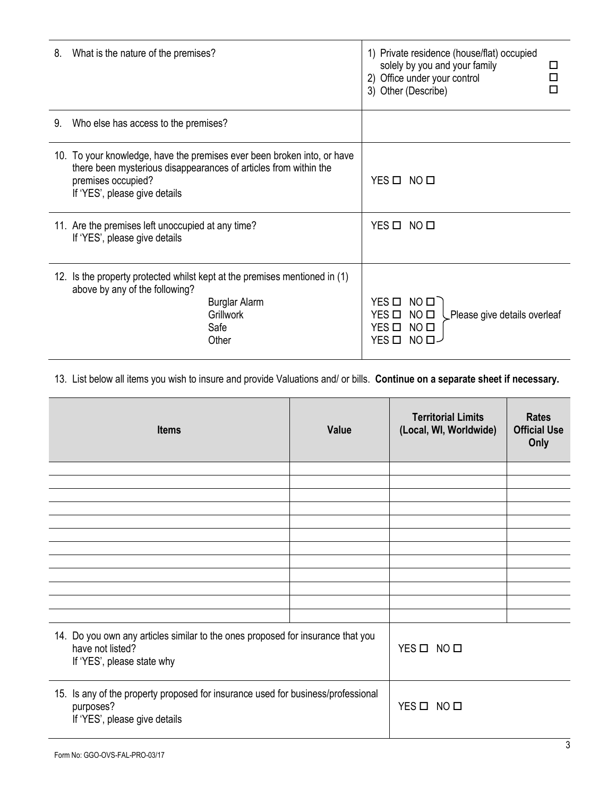| 8. | What is the nature of the premises?                                                                                                                                                                | 1) Private residence (house/flat) occupied<br>solely by you and your family<br>П<br>2) Office under your control<br>3) Other (Describe)<br>п                    |
|----|----------------------------------------------------------------------------------------------------------------------------------------------------------------------------------------------------|-----------------------------------------------------------------------------------------------------------------------------------------------------------------|
| 9. | Who else has access to the premises?                                                                                                                                                               |                                                                                                                                                                 |
|    | 10. To your knowledge, have the premises ever been broken into, or have<br>there been mysterious disappearances of articles from within the<br>premises occupied?<br>If 'YES', please give details | YES O NO O                                                                                                                                                      |
|    | 11. Are the premises left unoccupied at any time?<br>If 'YES', please give details                                                                                                                 | YES O NO O                                                                                                                                                      |
|    | 12. Is the property protected whilst kept at the premises mentioned in (1)<br>above by any of the following?<br><b>Burglar Alarm</b><br><b>Grillwork</b><br>Safe<br>Other                          | YES O NO O<br>$YES$ $\square$<br>NO <sub>II</sub><br>Please give details overleaf<br>$YES$ $\square$<br>NO <sub>II</sub><br>$YES$ $\square$<br>NO <sub>II</sub> |

13. List below all items you wish to insure and provide Valuations and/ or bills. **Continue on a separate sheet if necessary.**

| <b>Items</b>                                                                                                                      | Value      | <b>Territorial Limits</b><br>(Local, WI, Worldwide) | <b>Rates</b><br><b>Official Use</b><br>Only |
|-----------------------------------------------------------------------------------------------------------------------------------|------------|-----------------------------------------------------|---------------------------------------------|
|                                                                                                                                   |            |                                                     |                                             |
|                                                                                                                                   |            |                                                     |                                             |
|                                                                                                                                   |            |                                                     |                                             |
|                                                                                                                                   |            |                                                     |                                             |
|                                                                                                                                   |            |                                                     |                                             |
|                                                                                                                                   |            |                                                     |                                             |
|                                                                                                                                   |            |                                                     |                                             |
|                                                                                                                                   |            |                                                     |                                             |
|                                                                                                                                   |            |                                                     |                                             |
|                                                                                                                                   |            |                                                     |                                             |
|                                                                                                                                   |            |                                                     |                                             |
| 14. Do you own any articles similar to the ones proposed for insurance that you<br>have not listed?<br>If 'YES', please state why | YES O NO O |                                                     |                                             |
| 15. Is any of the property proposed for insurance used for business/professional<br>purposes?<br>If 'YES', please give details    |            | YES O NO O                                          |                                             |